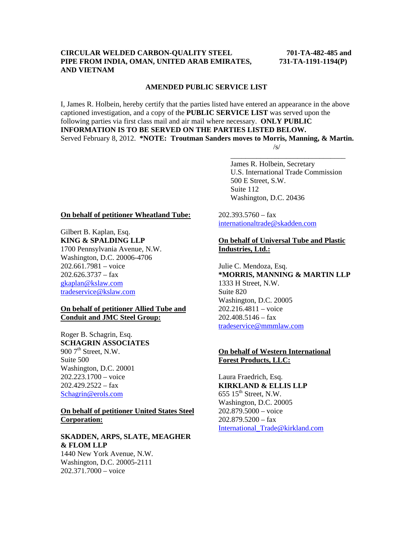## **CIRCULAR WELDED CARBON-QUALITY STEEL 701-TA-482-485 and PIPE FROM INDIA, OMAN, UNITED ARAB EMIRATES, 731-TA-1191-1194(P) AND VIETNAM**

#### **AMENDED PUBLIC SERVICE LIST**

I, James R. Holbein, hereby certify that the parties listed have entered an appearance in the above captioned investigation, and a copy of the **PUBLIC SERVICE LIST** was served upon the following parties via first class mail and air mail where necessary. **ONLY PUBLIC INFORMATION IS TO BE SERVED ON THE PARTIES LISTED BELOW.**  Served February 8, 2012. **\*NOTE: Troutman Sanders moves to Morris, Manning, & Martin.**   $\sqrt{s}$ /s/

 $\overline{\phantom{a}}$  , and the contract of the contract of the contract of the contract of the contract of the contract of the contract of the contract of the contract of the contract of the contract of the contract of the contrac

 James R. Holbein, Secretary U.S. International Trade Commission 500 E Street, S.W. Suite 112 Washington, D.C. 20436

### **On behalf of petitioner Wheatland Tube:**

Gilbert B. Kaplan, Esq. **KING & SPALDING LLP** 1700 Pennsylvania Avenue, N.W. Washington, D.C. 20006-4706 202.661.7981 – voice  $202.626.3737 - fax$ gkaplan@kslaw.com tradeservice@kslaw.com

## **On behalf of petitioner Allied Tube and Conduit and JMC Steel Group:**

Roger B. Schagrin, Esq. **SCHAGRIN ASSOCIATES** 900  $7<sup>th</sup>$  Street, N.W. Suite 500 Washington, D.C. 20001 202.223.1700 – voice  $202.429.2522 - fax$ Schagrin@erols.com

## **On behalf of petitioner United States Steel Corporation:**

## **SKADDEN, ARPS, SLATE, MEAGHER & FLOM LLP**

1440 New York Avenue, N.W. Washington, D.C. 20005-2111 202.371.7000 – voice

 $202.393.5760 - fax$ internationaltrade@skadden.com

# **On behalf of Universal Tube and Plastic Industries, Ltd.:**

Julie C. Mendoza, Esq. **\*MORRIS, MANNING & MARTIN LLP** 1333 H Street, N.W. Suite 820 Washington, D.C. 20005 202.216.4811 – voice  $202.408.5146 - f$ ax tradeservice@mmmlaw.com

## **On behalf of Western International Forest Products, LLC:**

Laura Fraedrich, Esq. **KIRKLAND & ELLIS LLP**  $655$   $15^{\text{th}}$  Street, N.W. Washington, D.C. 20005 202.879.5000 – voice 202.879.5200 – fax International\_Trade@kirkland.com